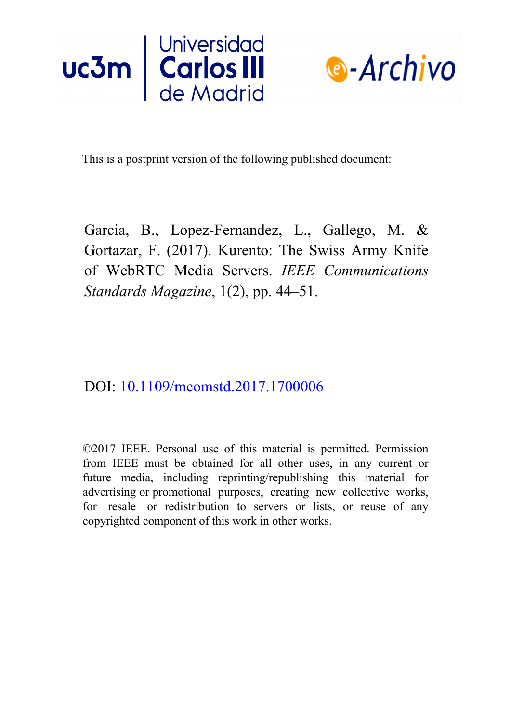



This is a postprint version of the following published document:

Garcia, B., Lopez-Fernandez, L., Gallego, M. & Gortazar, F. (2017). Kurento: The Swiss Army Knife of WebRTC Media Servers. *IEEE Communications Standards Magazine*, 1(2), pp. 44–51.

DOI: [10.1109/mcomstd.2017.1700006](https://doi.org/10.1109/mcomstd.2017.1700006)

©2017 IEEE. Personal use of this material is permitted. Permission from IEEE must be obtained for all other uses, in any current or future media, including reprinting/republishing this material for advertising or promotional purposes, creating new collective works, for resale or redistribution to servers or lists, or reuse of any copyrighted component of this work in other works.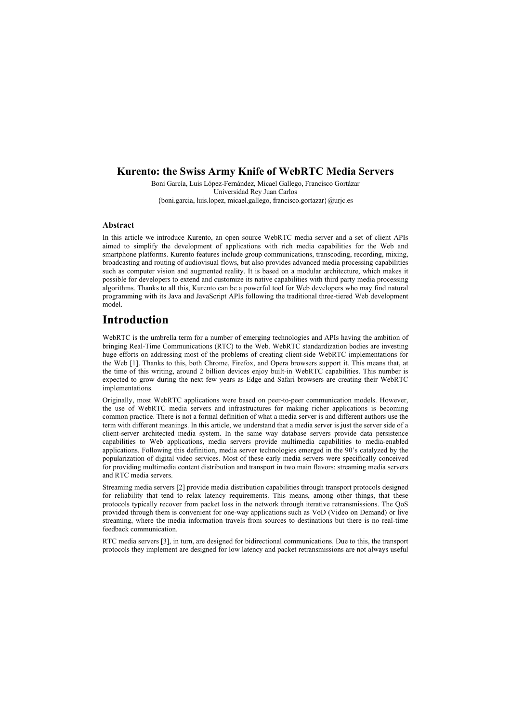### **Kurento: the Swiss Army Knife of WebRTC Media Servers**

Boni García, Luis López-Fernández, Micael Gallego, Francisco Gortázar Universidad Rey Juan Carlos {boni.garcia, luis.lopez, micael.gallego, francisco.gortazar}@urjc.es

#### **Abstract**

In this article we introduce Kurento, an open source WebRTC media server and a set of client APIs aimed to simplify the development of applications with rich media capabilities for the Web and smartphone platforms. Kurento features include group communications, transcoding, recording, mixing, broadcasting and routing of audiovisual flows, but also provides advanced media processing capabilities such as computer vision and augmented reality. It is based on a modular architecture, which makes it possible for developers to extend and customize its native capabilities with third party media processing algorithms. Thanks to all this, Kurento can be a powerful tool for Web developers who may find natural programming with its Java and JavaScript APIs following the traditional three-tiered Web development model.

### **Introduction**

WebRTC is the umbrella term for a number of emerging technologies and APIs having the ambition of bringing Real-Time Communications (RTC) to the Web. WebRTC standardization bodies are investing huge efforts on addressing most of the problems of creating client-side WebRTC implementations for the Web [\[1\].](#page-12-0) Thanks to this, both Chrome, Firefox, and Opera browsers support it. This means that, at the time of this writing, around 2 billion devices enjoy built-in WebRTC capabilities. This number is expected to grow during the next few years as Edge and Safari browsers are creating their WebRTC implementations.

Originally, most WebRTC applications were based on peer-to-peer communication models. However, the use of WebRTC media servers and infrastructures for making richer applications is becoming common practice. There is not a formal definition of what a media server is and different authors use the term with different meanings. In this article, we understand that a media server is just the server side of a client-server architected media system. In the same way database servers provide data persistence capabilities to Web applications, media servers provide multimedia capabilities to media-enabled applications. Following this definition, media server technologies emerged in the 90's catalyzed by the popularization of digital video services. Most of these early media servers were specifically conceived for providing multimedia content distribution and transport in two main flavors: streaming media servers and RTC media servers.

Streaming media servers [\[2\]](#page-12-1) provide media distribution capabilities through transport protocols designed for reliability that tend to relax latency requirements. This means, among other things, that these protocols typically recover from packet loss in the network through iterative retransmissions. The QoS provided through them is convenient for one-way applications such as VoD (Video on Demand) or live streaming, where the media information travels from sources to destinations but there is no real-time feedback communication.

RTC media servers [\[3\],](#page-12-2) in turn, are designed for bidirectional communications. Due to this, the transport protocols they implement are designed for low latency and packet retransmissions are not always useful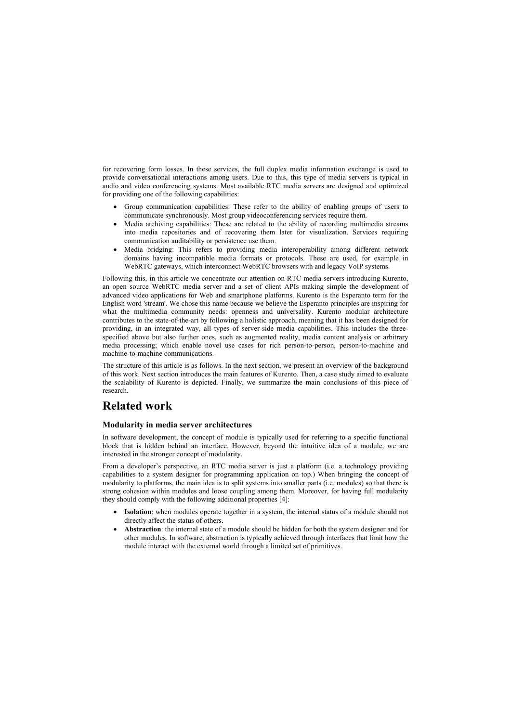for recovering form losses. In these services, the full duplex media information exchange is used to provide conversational interactions among users. Due to this, this type of media servers is typical in audio and video conferencing systems. Most available RTC media servers are designed and optimized for providing one of the following capabilities:

- Group communication capabilities: These refer to the ability of enabling groups of users to communicate synchronously. Most group videoconferencing services require them.
- Media archiving capabilities: These are related to the ability of recording multimedia streams into media repositories and of recovering them later for visualization. Services requiring communication auditability or persistence use them.
- Media bridging: This refers to providing media interoperability among different network domains having incompatible media formats or protocols. These are used, for example in WebRTC gateways, which interconnect WebRTC browsers with and legacy VoIP systems.

Following this, in this article we concentrate our attention on RTC media servers introducing Kurento, an open source WebRTC media server and a set of client APIs making simple the development of advanced video applications for Web and smartphone platforms. Kurento is the Esperanto term for the English word 'stream'. We chose this name because we believe the Esperanto principles are inspiring for what the multimedia community needs: openness and universality. Kurento modular architecture contributes to the state-of-the-art by following a holistic approach, meaning that it has been designed for providing, in an integrated way, all types of server-side media capabilities. This includes the threespecified above but also further ones, such as augmented reality, media content analysis or arbitrary media processing; which enable novel use cases for rich person-to-person, person-to-machine and machine-to-machine communications.

The structure of this article is as follows. In the next section, we present an overview of the background of this work. Next section introduces the main features of Kurento. Then, a case study aimed to evaluate the scalability of Kurento is depicted. Finally, we summarize the main conclusions of this piece of research.

# **Related work**

### **Modularity in media server architectures**

In software development, the concept of module is typically used for referring to a specific functional block that is hidden behind an interface. However, beyond the intuitive idea of a module, we are interested in the stronger concept of modularity.

From a developer's perspective, an RTC media server is just a platform (i.e. a technology providing capabilities to a system designer for programming application on top.) When bringing the concept of modularity to platforms, the main idea is to split systems into smaller parts (i.e. modules) so that there is strong cohesion within modules and loose coupling among them. Moreover, for having full modularity they should comply with the following additional properties [\[4\]:](#page-12-3)

- **Isolation**: when modules operate together in a system, the internal status of a module should not directly affect the status of others.
- **Abstraction**: the internal state of a module should be hidden for both the system designer and for other modules. In software, abstraction is typically achieved through interfaces that limit how the module interact with the external world through a limited set of primitives.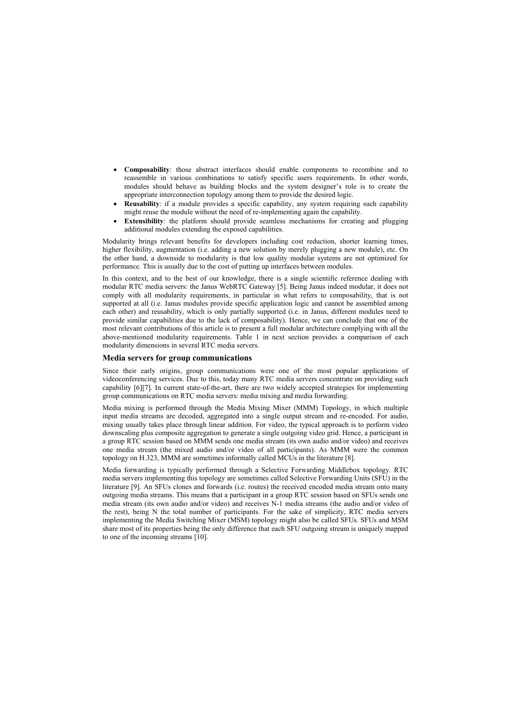- **Composability**: those abstract interfaces should enable components to recombine and to reassemble in various combinations to satisfy specific users requirements. In other words, modules should behave as building blocks and the system designer's role is to create the appropriate interconnection topology among them to provide the desired logic.
- **Reusability**: if a module provides a specific capability, any system requiring such capability might reuse the module without the need of re-implementing again the capability.
- **Extensibility**: the platform should provide seamless mechanisms for creating and plugging additional modules extending the exposed capabilities.

Modularity brings relevant benefits for developers including cost reduction, shorter learning times, higher flexibility, augmentation (i.e. adding a new solution by merely plugging a new module), etc. On the other hand, a downside to modularity is that low quality modular systems are not optimized for performance. This is usually due to the cost of putting up interfaces between modules.

In this context, and to the best of our knowledge, there is a single scientific reference dealing with modular RTC media servers: the Janus WebRTC Gateway [\[5\].](#page-12-4) Being Janus indeed modular, it does not comply with all modularity requirements, in particular in what refers to composability, that is not supported at all (i.e. Janus modules provide specific application logic and cannot be assembled among each other) and reusability, which is only partially supported (i.e. in Janus, different modules need to provide similar capabilities due to the lack of composability). Hence, we can conclude that one of the most relevant contributions of this article is to present a full modular architecture complying with all the above-mentioned modularity requirements. [Table 1](#page-7-0) in next section provides a comparison of each modularity dimensions in several RTC media servers.

#### **Media servers for group communications**

Since their early origins, group communications were one of the most popular applications of videoconferencing services. Due to this, today many RTC media servers concentrate on providing such capability [\[6\]\[7\].](#page-12-5) In current state-of-the-art, there are two widely accepted strategies for implementing group communications on RTC media servers: media mixing and media forwarding.

Media mixing is performed through the Media Mixing Mixer (MMM) Topology, in which multiple input media streams are decoded, aggregated into a single output stream and re-encoded. For audio, mixing usually takes place through linear addition. For video, the typical approach is to perform video downscaling plus composite aggregation to generate a single outgoing video grid. Hence, a participant in a group RTC session based on MMM sends one media stream (its own audio and/or video) and receives one media stream (the mixed audio and/or video of all participants). As MMM were the common topology on H.323, MMM are sometimes informally called MCUs in the literature [\[8\].](#page-12-6)

Media forwarding is typically performed through a Selective Forwarding Middlebox topology. RTC media servers implementing this topology are sometimes called Selective Forwarding Units (SFU) in the literature [\[9\].](#page-12-7) An SFUs clones and forwards (i.e. routes) the received encoded media stream onto many outgoing media streams. This means that a participant in a group RTC session based on SFUs sends one media stream (its own audio and/or video) and receives N-1 media streams (the audio and/or video of the rest), being N the total number of participants. For the sake of simplicity, RTC media servers implementing the Media Switching Mixer (MSM) topology might also be called SFUs. SFUs and MSM share most of its properties being the only difference that each SFU outgoing stream is uniquely mapped to one of the incoming streams [\[10\].](#page-12-8)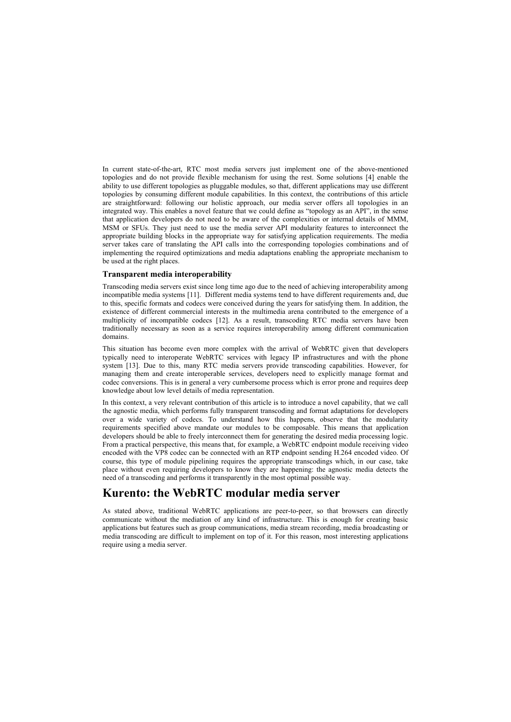In current state-of-the-art, RTC most media servers just implement one of the above-mentioned topologies and do not provide flexible mechanism for using the rest. Some solutions [\[4\]](#page-12-3) enable the ability to use different topologies as pluggable modules, so that, different applications may use different topologies by consuming different module capabilities. In this context, the contributions of this article are straightforward: following our holistic approach, our media server offers all topologies in an integrated way. This enables a novel feature that we could define as "topology as an API", in the sense that application developers do not need to be aware of the complexities or internal details of MMM, MSM or SFUs. They just need to use the media server API modularity features to interconnect the appropriate building blocks in the appropriate way for satisfying application requirements. The media server takes care of translating the API calls into the corresponding topologies combinations and of implementing the required optimizations and media adaptations enabling the appropriate mechanism to be used at the right places.

#### **Transparent media interoperability**

Transcoding media servers exist since long time ago due to the need of achieving interoperability among incompatible media systems [\[11\].](#page-13-0) Different media systems tend to have different requirements and, due to this, specific formats and codecs were conceived during the years for satisfying them. In addition, the existence of different commercial interests in the multimedia arena contributed to the emergence of a multiplicity of incompatible codecs [\[12\].](#page-13-1) As a result, transcoding RTC media servers have been traditionally necessary as soon as a service requires interoperability among different communication domains.

This situation has become even more complex with the arrival of WebRTC given that developers typically need to interoperate WebRTC services with legacy IP infrastructures and with the phone system [\[13\].](#page-13-2) Due to this, many RTC media servers provide transcoding capabilities. However, for managing them and create interoperable services, developers need to explicitly manage format and codec conversions. This is in general a very cumbersome process which is error prone and requires deep knowledge about low level details of media representation.

In this context, a very relevant contribution of this article is to introduce a novel capability, that we call the agnostic media, which performs fully transparent transcoding and format adaptations for developers over a wide variety of codecs. To understand how this happens, observe that the modularity requirements specified above mandate our modules to be composable. This means that application developers should be able to freely interconnect them for generating the desired media processing logic. From a practical perspective, this means that, for example, a WebRTC endpoint module receiving video encoded with the VP8 codec can be connected with an RTP endpoint sending H.264 encoded video. Of course, this type of module pipelining requires the appropriate transcodings which, in our case, take place without even requiring developers to know they are happening: the agnostic media detects the need of a transcoding and performs it transparently in the most optimal possible way.

### **Kurento: the WebRTC modular media server**

As stated above, traditional WebRTC applications are peer-to-peer, so that browsers can directly communicate without the mediation of any kind of infrastructure. This is enough for creating basic applications but features such as group communications, media stream recording, media broadcasting or media transcoding are difficult to implement on top of it. For this reason, most interesting applications require using a media server.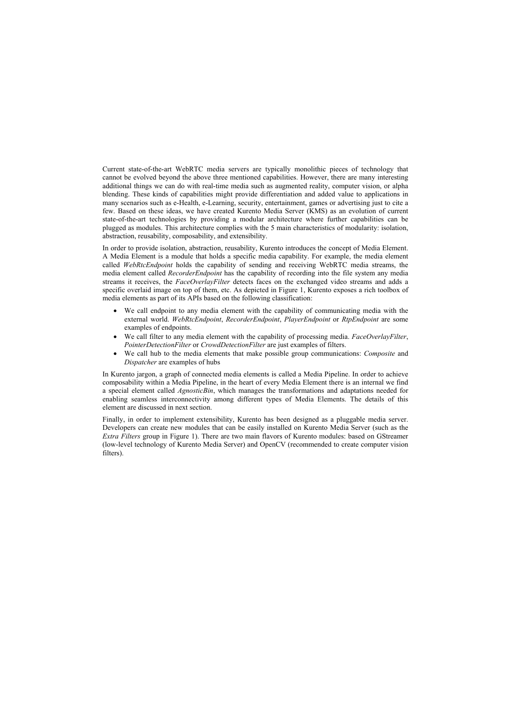Current state-of-the-art WebRTC media servers are typically monolithic pieces of technology that cannot be evolved beyond the above three mentioned capabilities. However, there are many interesting additional things we can do with real-time media such as augmented reality, computer vision, or alpha blending. These kinds of capabilities might provide differentiation and added value to applications in many scenarios such as e-Health, e-Learning, security, entertainment, games or advertising just to cite a few. Based on these ideas, we have created Kurento Media Server (KMS) as an evolution of current state-of-the-art technologies by providing a modular architecture where further capabilities can be plugged as modules. This architecture complies with the 5 main characteristics of modularity: isolation, abstraction, reusability, composability, and extensibility.

In order to provide isolation, abstraction, reusability, Kurento introduces the concept of Media Element. A Media Element is a module that holds a specific media capability. For example, the media element called *WebRtcEndpoint* holds the capability of sending and receiving WebRTC media streams, the media element called *RecorderEndpoint* has the capability of recording into the file system any media streams it receives, the *FaceOverlayFilter* detects faces on the exchanged video streams and adds a specific overlaid image on top of them, etc. As depicted in [Figure 1,](#page-6-0) Kurento exposes a rich toolbox of media elements as part of its APIs based on the following classification:

- We call endpoint to any media element with the capability of communicating media with the external world. *WebRtcEndpoint*, *RecorderEndpoint*, *PlayerEndpoint* or *RtpEndpoint* are some examples of endpoints.
- We call filter to any media element with the capability of processing media. *FaceOverlayFilter*, *PointerDetectionFilter* or *CrowdDetectionFilter* are just examples of filters.
- We call hub to the media elements that make possible group communications: *Composite* and *Dispatcher* are examples of hubs

In Kurento jargon, a graph of connected media elements is called a Media Pipeline. In order to achieve composability within a Media Pipeline, in the heart of every Media Element there is an internal we find a special element called *AgnosticBin*, which manages the transformations and adaptations needed for enabling seamless interconnectivity among different types of Media Elements. The details of this element are discussed in next section.

Finally, in order to implement extensibility, Kurento has been designed as a pluggable media server. Developers can create new modules that can be easily installed on Kurento Media Server (such as the *Extra Filters* group in [Figure 1\)](#page-6-0). There are two main flavors of Kurento modules: based on GStreamer (low-level technology of Kurento Media Server) and OpenCV (recommended to create computer vision filters).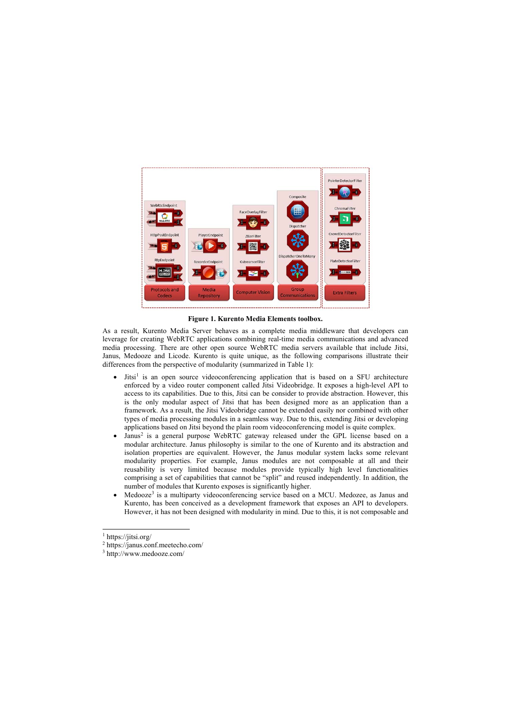

**Figure 1. Kurento Media Elements toolbox.**

As a result, Kurento Media Server behaves as a complete media middleware that developers can leverage for creating WebRTC applications combining real-time media communications and advanced media processing. There are other open source WebRTC media servers available that include Jitsi, Janus, Medooze and Licode. Kurento is quite unique, as the following comparisons illustrate their differences from the perspective of modularity (summarized in [Table 1\)](#page-7-0):

- Jitsi<sup>[1](#page-6-1)</sup> is an open source videoconferencing application that is based on a SFU architecture enforced by a video router component called Jitsi Videobridge. It exposes a high-level API to access to its capabilities. Due to this, Jitsi can be consider to provide abstraction. However, this is the only modular aspect of Jitsi that has been designed more as an application than a framework. As a result, the Jitsi Videobridge cannot be extended easily nor combined with other types of media processing modules in a seamless way. Due to this, extending Jitsi or developing applications based on Jitsi beyond the plain room videoconferencing model is quite complex.
- <span id="page-6-0"></span>• Janus<sup>[2](#page-6-2)</sup> is a general purpose WebRTC gateway released under the GPL license based on a modular architecture. Janus philosophy is similar to the one of Kurento and its abstraction and isolation properties are equivalent. However, the Janus modular system lacks some relevant modularity properties. For example, Janus modules are not composable at all and their reusability is very limited because modules provide typically high level functionalities comprising a set of capabilities that cannot be "split" and reused independently. In addition, the number of modules that Kurento exposes is significantly higher.
- Medooze<sup>[3](#page-6-3)</sup> is a multiparty videoconferencing service based on a MCU. Medozee, as Janus and Kurento, has been conceived as a development framework that exposes an API to developers. However, it has not been designed with modularity in mind. Due to this, it is not composable and

 $\overline{a}$ 

<sup>&</sup>lt;sup>1</sup> https://jitsi.org/

<sup>2</sup> https://janus.conf.meetecho.com/

<span id="page-6-3"></span><span id="page-6-2"></span><span id="page-6-1"></span><sup>3</sup> http://www.medooze.com/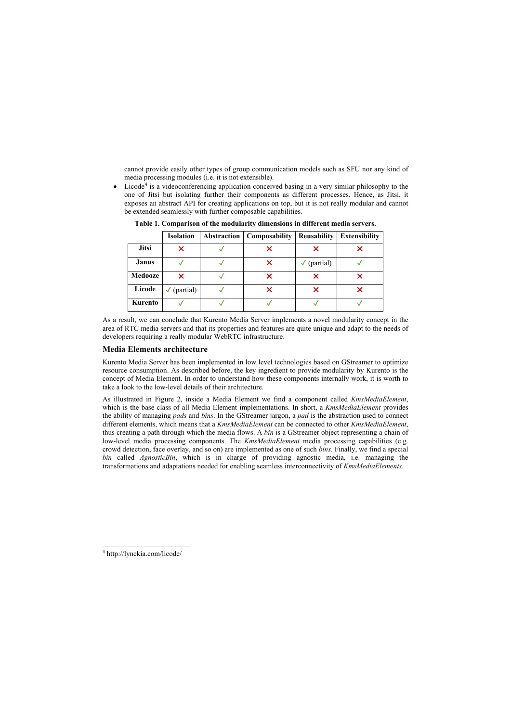cannot provide easily other types of group communication models such as SFU nor any kind of media processing modules (i.e. it is not extensible).

• Licode<sup>[4](#page-7-1)</sup> is a videoconferencing application conceived basing in a very similar philosophy to the one of Jitsi but isolating further their components as different processes. Hence, as Jitsi, it exposes an abstract API for creating applications on top, but it is not really modular and cannot be extended seamlessly with further composable capabilities.

|                | <b>Isolation</b> | Abstraction | Composability | <b>Reusability</b>     | <b>Extensibility</b> |
|----------------|------------------|-------------|---------------|------------------------|----------------------|
| <b>Jitsi</b>   |                  |             |               |                        |                      |
| <b>Janus</b>   |                  |             |               | $\checkmark$ (partial) |                      |
| <b>Medooze</b> | Х                |             |               |                        |                      |
| Licode         | (partial)<br>√   |             |               |                        |                      |
| Kurento        |                  |             |               |                        |                      |

**Table 1. Comparison of the modularity dimensions in different media servers.** 

As a result, we can conclude that Kurento Media Server implements a novel modularity concept in the area of RTC media servers and that its properties and features are quite unique and adapt to the needs of developers requiring a really modular WebRTC infrastructure.

### <span id="page-7-0"></span>**Media Elements architecture**

Kurento Media Server has been implemented in low level technologies based on GStreamer to optimize resource consumption. As described before, the key ingredient to provide modularity by Kurento is the concept of Media Element. In order to understand how these components internally work, it is worth to take a look to the low-level details of their architecture.

As illustrated in [Figure 2,](#page-8-0) inside a Media Element we find a component called *KmsMediaElement*, which is the base class of all Media Element implementations. In short, a *KmsMediaElement* provides the ability of managing *pads* and *bins*. In the GStreamer jargon, a *pad* is the abstraction used to connect different elements, which means that a *KmsMediaElement* can be connected to other *KmsMediaElement*, thus creating a path through which the media flows. A *bin* is a GStreamer object representing a chain of low-level media processing components. The *KmsMediaElement* media processing capabilities (e.g. crowd detection, face overlay, and so on) are implemented as one of such *bins*. Finally, we find a special *bin* called *AgnosticBin*, which is in charge of providing agnostic media, i.e. managing the transformations and adaptations needed for enabling seamless interconnectivity of *KmsMediaElements*.

<span id="page-7-1"></span> $\overline{a}$ <sup>4</sup> http://lynckia.com/licode/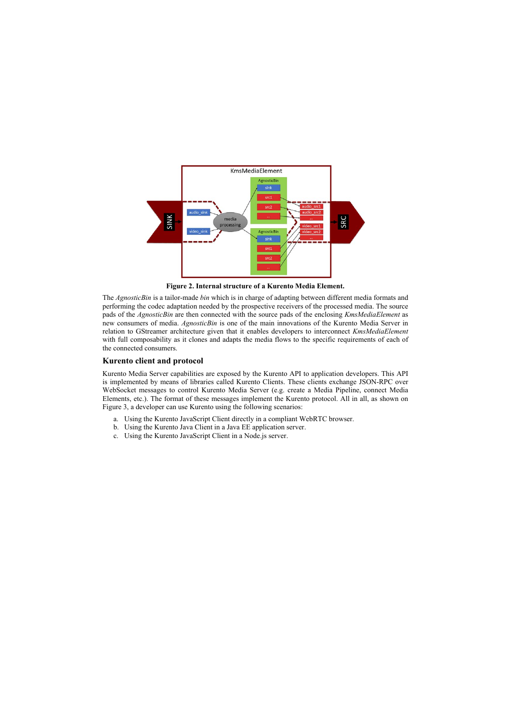

**Figure 2. Internal structure of a Kurento Media Element.**

The *AgnosticBin* is a tailor-made *bin* which is in charge of adapting between different media formats and performing the codec adaptation needed by the prospective receivers of the processed media. The source pads of the *AgnosticBin* are then connected with the source pads of the enclosing *KmsMediaElement* as new consumers of media. *AgnosticBin* is one of the main innovations of the Kurento Media Server in relation to GStreamer architecture given that it enables developers to interconnect *KmsMediaElement* with full composability as it clones and adapts the media flows to the specific requirements of each of the connected consumers.

### **Kurento client and protocol**

<span id="page-8-0"></span>Kurento Media Server capabilities are exposed by the Kurento API to application developers. This API is implemented by means of libraries called Kurento Clients. These clients exchange JSON-RPC over WebSocket messages to control Kurento Media Server (e.g. create a Media Pipeline, connect Media Elements, etc.). The format of these messages implement the Kurento protocol. All in all, as shown on [Figure 3,](#page-9-0) a developer can use Kurento using the following scenarios:

- a. Using the Kurento JavaScript Client directly in a compliant WebRTC browser.
- b. Using the Kurento Java Client in a Java EE application server.
- c. Using the Kurento JavaScript Client in a Node.js server.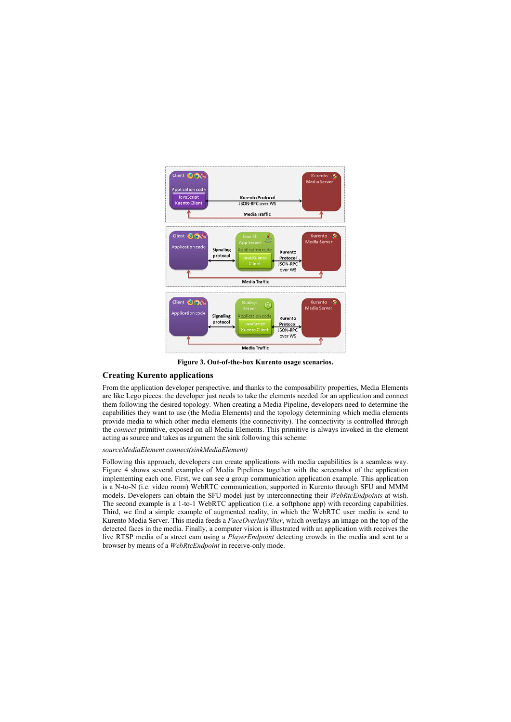

**Figure 3. Out-of-the-box Kurento usage scenarios.**

### **Creating Kurento applications**

From the application developer perspective, and thanks to the composability properties, Media Elements are like Lego pieces: the developer just needs to take the elements needed for an application and connect them following the desired topology. When creating a Media Pipeline, developers need to determine the capabilities they want to use (the Media Elements) and the topology determining which media elements provide media to which other media elements (the connectivity). The connectivity is controlled through the *connect* primitive, exposed on all Media Elements. This primitive is always invoked in the element acting as source and takes as argument the sink following this scheme:

### *sourceMediaElement.connect(sinkMediaElement)*

<span id="page-9-0"></span>Following this approach, developers can create applications with media capabilities is a seamless way. [Figure 4](#page-10-0) shows several examples of Media Pipelines together with the screenshot of the application implementing each one. First, we can see a group communication application example. This application is a N-to-N (i.e. video room) WebRTC communication, supported in Kurento through SFU and MMM models. Developers can obtain the SFU model just by interconnecting their *WebRtcEndpoints* at wish. The second example is a 1-to-1 WebRTC application (i.e. a softphone app) with recording capabilities. Third, we find a simple example of augmented reality, in which the WebRTC user media is send to Kurento Media Server. This media feeds a *FaceOverlayFilter*, which overlays an image on the top of the detected faces in the media. Finally, a computer vision is illustrated with an application with receives the live RTSP media of a street cam using a *PlayerEndpoint* detecting crowds in the media and sent to a browser by means of a *WebRtcEndpoint* in receive-only mode.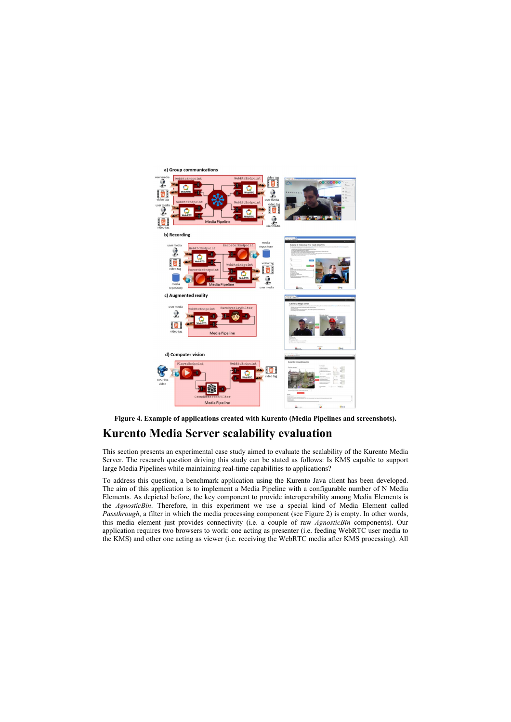



# **Kurento Media Server scalability evaluation**

This section presents an experimental case study aimed to evaluate the scalability of the Kurento Media Server. The research question driving this study can be stated as follows: Is KMS capable to support large Media Pipelines while maintaining real-time capabilities to applications?

<span id="page-10-0"></span>To address this question, a benchmark application using the Kurento Java client has been developed. The aim of this application is to implement a Media Pipeline with a configurable number of N Media Elements. As depicted before, the key component to provide interoperability among Media Elements is the *AgnosticBin*. Therefore, in this experiment we use a special kind of Media Element called *Passthrough*, a filter in which the media processing component (see [Figure 2\)](#page-8-0) is empty. In other words, this media element just provides connectivity (i.e. a couple of raw *AgnosticBin* components). Our application requires two browsers to work: one acting as presenter (i.e. feeding WebRTC user media to the KMS) and other one acting as viewer (i.e. receiving the WebRTC media after KMS processing). All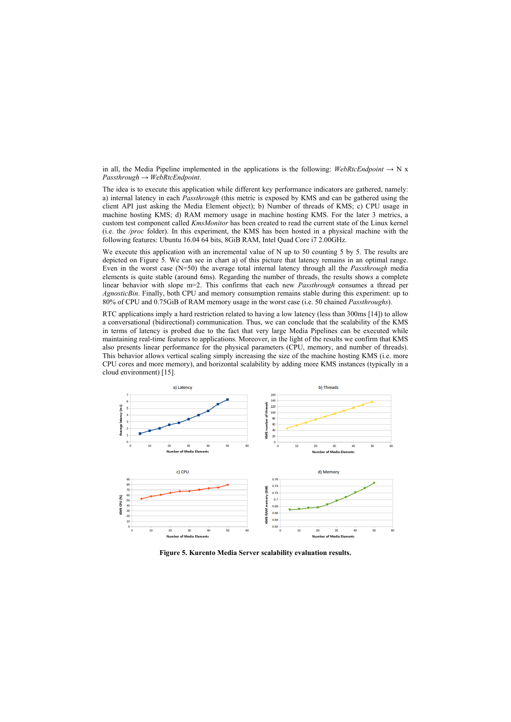in all, the Media Pipeline implemented in the applications is the following: *WebRtcEndpoint*  $\rightarrow$  N x *Passthrough* → *WebRtcEndpoint*.

The idea is to execute this application while different key performance indicators are gathered, namely: a) internal latency in each *Passthrough* (this metric is exposed by KMS and can be gathered using the client API just asking the Media Element object); b) Number of threads of KMS; c) CPU usage in machine hosting KMS; d) RAM memory usage in machine hosting KMS. For the later 3 metrics, a custom test component called *KmsMonitor* has been created to read the current state of the Linux kernel (i.e. the */proc* folder). In this experiment, the KMS has been hosted in a physical machine with the following features: Ubuntu 16.04 64 bits, 8GiB RAM, Intel Quad Core i7 2.00GHz.

We execute this application with an incremental value of N up to 50 counting 5 by 5. The results are depicted on [Figure 5.](#page-11-0) We can see in chart a) of this picture that latency remains in an optimal range. Even in the worst case (N=50) the average total internal latency through all the *Passthrough* media elements is quite stable (around 6ms). Regarding the number of threads, the results shows a complete linear behavior with slope m=2. This confirms that each new *Passthrough* consumes a thread per *AgnosticBin*. Finally, both CPU and memory consumption remains stable during this experiment: up to 80% of CPU and 0.75GiB of RAM memory usage in the worst case (i.e. 50 chained *Passthroughs*).

RTC applications imply a hard restriction related to having a low latency (less than 300ms [\[14\]\)](#page-13-3) to allow a conversational (bidirectional) communication. Thus, we can conclude that the scalability of the KMS in terms of latency is probed due to the fact that very large Media Pipelines can be executed while maintaining real-time features to applications. Moreover, in the light of the results we confirm that KMS also presents linear performance for the physical parameters (CPU, memory, and number of threads). This behavior allows vertical scaling simply increasing the size of the machine hosting KMS (i.e. more CPU cores and more memory), and horizontal scalability by adding more KMS instances (typically in a cloud environment) [\[15\].](#page-13-4)



<span id="page-11-0"></span>**Figure 5. Kurento Media Server scalability evaluation results.**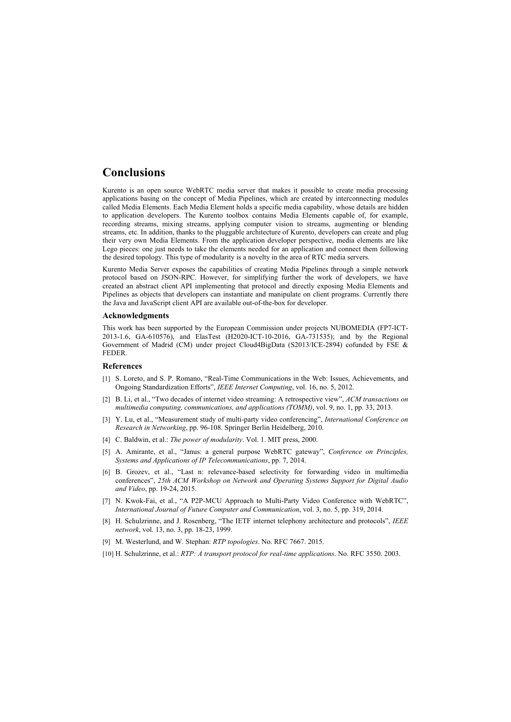## **Conclusions**

Kurento is an open source WebRTC media server that makes it possible to create media processing applications basing on the concept of Media Pipelines, which are created by interconnecting modules called Media Elements. Each Media Element holds a specific media capability, whose details are hidden to application developers. The Kurento toolbox contains Media Elements capable of, for example, recording streams, mixing streams, applying computer vision to streams, augmenting or blending streams, etc. In addition, thanks to the pluggable architecture of Kurento, developers can create and plug their very own Media Elements. From the application developer perspective, media elements are like Lego pieces: one just needs to take the elements needed for an application and connect them following the desired topology. This type of modularity is a novelty in the area of RTC media servers.

Kurento Media Server exposes the capabilities of creating Media Pipelines through a simple network protocol based on JSON-RPC. However, for simplifying further the work of developers, we have created an abstract client API implementing that protocol and directly exposing Media Elements and Pipelines as objects that developers can instantiate and manipulate on client programs. Currently there the Java and JavaScript client API are available out-of-the-box for developer.

#### **Acknowledgments**

This work has been supported by the European Commission under projects NUBOMEDIA (FP7-ICT-2013-1.6, GA-610576), and ElasTest (H2020-ICT-10-2016, GA-731535); and by the Regional Government of Madrid (CM) under project Cloud4BigData (S2013/ICE-2894) cofunded by FSE & FEDER.

#### **References**

- [1] S. Loreto, and S. P. Romano, "Real-Time Communications in the Web: Issues, Achievements, and Ongoing Standardization Efforts", *IEEE Internet Computing*, vol. 16, no. 5, 2012.
- [2] B. Li, et al., "Two decades of internet video streaming: A retrospective view", *ACM transactions on multimedia computing, communications, and applications (TOMM)*, vol. 9, no. 1, pp. 33, 2013.
- [3] Y. Lu, et al., "Measurement study of multi-party video conferencing", *International Conference on Research in Networking*, pp. 96-108. Springer Berlin Heidelberg, 2010.
- [4] C. Baldwin, et al.: *The power of modularity*. Vol. 1. MIT press, 2000.
- [5] A. Amirante, et al., "Janus: a general purpose WebRTC gateway", *Conference on Principles, Systems and Applications of IP Telecommunications*, pp. 7, 2014.
- [6] B. Grozev, et al., "Last n: relevance-based selectivity for forwarding video in multimedia conferences", *25th ACM Workshop on Network and Operating Systems Support for Digital Audio and Video*, pp. 19-24, 2015.
- <span id="page-12-0"></span>[7] N. Kwok-Fai, et al., "A P2P-MCU Approach to Multi-Party Video Conference with WebRTC", *International Journal of Future Computer and Communication*, vol. 3, no. 5, pp. 319, 2014.
- <span id="page-12-1"></span>[8] H. Schulzrinne, and J. Rosenberg, "The IETF internet telephony architecture and protocols", *IEEE network*, vol. 13, no. 3, pp. 18-23, 1999.
- <span id="page-12-2"></span>[9] M. Westerlund, and W. Stephan: *RTP topologies*. No. RFC 7667. 2015.
- <span id="page-12-8"></span><span id="page-12-7"></span><span id="page-12-6"></span><span id="page-12-5"></span><span id="page-12-4"></span><span id="page-12-3"></span>[10] H. Schulzrinne, et al.: *RTP: A transport protocol for real-time applications*. No. RFC 3550. 2003.